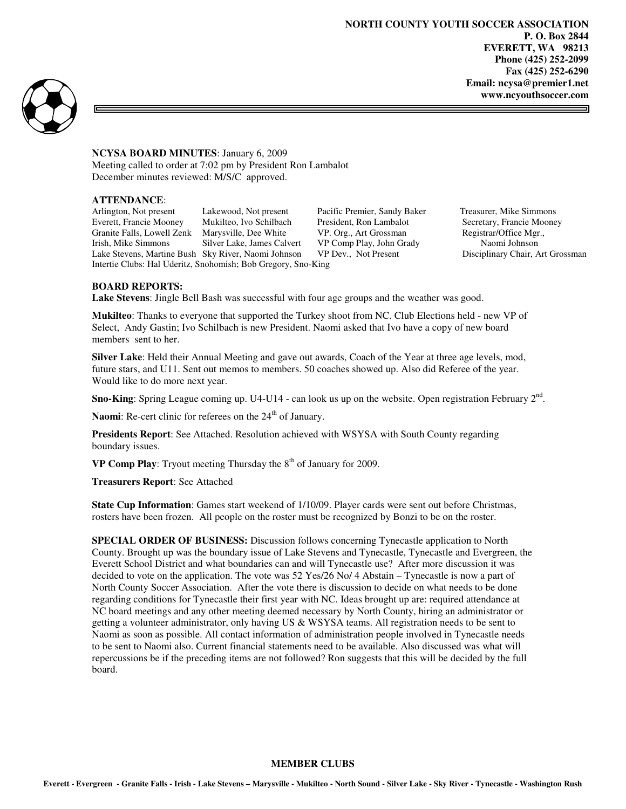**NORTH COUNTY YOUTH SOCCER ASSOCIATION P. O. Box 2844 EVERETT, WA 98213 Phone (425) 252-2099 Fax (425) 252-6290 Email: ncysa@premier1.net www.ncyouthsoccer.com** 



**NCYSA BOARD MINUTES**: January 6, 2009 Meeting called to order at 7:02 pm by President Ron Lambalot December minutes reviewed: M/S/C approved.

## **ATTENDANCE**:

Arlington, Not present Lakewood, Not present Pacific Premier, Sandy Baker Treasurer, Mike Simmons Everett, Francie Mooney Mukilteo, Ivo Schilbach President, Ron Lambalot Secretary, Francie Mooney Granite Falls, Lowell Zenk Marysville, Dee White VP. Org., Art Grossman Registrar/Office Mgr., Irish, Mike Simmons Silver Lake, James Calvert VP Comp Play, John Grady Naomi Johnson<br>Lake Stevens, Martine Bush Sky River, Naomi Johnson VP Dev., Not Present Disciplinary Chair, Art Grossman Lake Stevens, Martine Bush Sky River, Naomi Johnson VP Dev., Not Present Intertie Clubs: Hal Uderitz, Snohomish; Bob Gregory, Sno-King

3

## **BOARD REPORTS:**

**Lake Stevens**: Jingle Bell Bash was successful with four age groups and the weather was good.

**Mukilteo**: Thanks to everyone that supported the Turkey shoot from NC. Club Elections held - new VP of Select, Andy Gastin; Ivo Schilbach is new President. Naomi asked that Ivo have a copy of new board members sent to her.

**Silver Lake**: Held their Annual Meeting and gave out awards, Coach of the Year at three age levels, mod, future stars, and U11. Sent out memos to members. 50 coaches showed up. Also did Referee of the year. Would like to do more next year.

Sno-King: Spring League coming up. U4-U14 - can look us up on the website. Open registration February 2<sup>nd</sup>.

Naomi: Re-cert clinic for referees on the 24<sup>th</sup> of January.

**Presidents Report**: See Attached. Resolution achieved with WSYSA with South County regarding boundary issues.

**VP Comp Play**: Tryout meeting Thursday the  $8<sup>th</sup>$  of January for 2009.

**Treasurers Report**: See Attached

**State Cup Information**: Games start weekend of 1/10/09. Player cards were sent out before Christmas, rosters have been frozen. All people on the roster must be recognized by Bonzi to be on the roster.

**SPECIAL ORDER OF BUSINESS:** Discussion follows concerning Tynecastle application to North County. Brought up was the boundary issue of Lake Stevens and Tynecastle, Tynecastle and Evergreen, the Everett School District and what boundaries can and will Tynecastle use? After more discussion it was decided to vote on the application. The vote was 52 Yes/26 No/ 4 Abstain – Tynecastle is now a part of North County Soccer Association. After the vote there is discussion to decide on what needs to be done regarding conditions for Tynecastle their first year with NC. Ideas brought up are: required attendance at NC board meetings and any other meeting deemed necessary by North County, hiring an administrator or getting a volunteer administrator, only having US & WSYSA teams. All registration needs to be sent to Naomi as soon as possible. All contact information of administration people involved in Tynecastle needs to be sent to Naomi also. Current financial statements need to be available. Also discussed was what will repercussions be if the preceding items are not followed? Ron suggests that this will be decided by the full board.

## **MEMBER CLUBS**